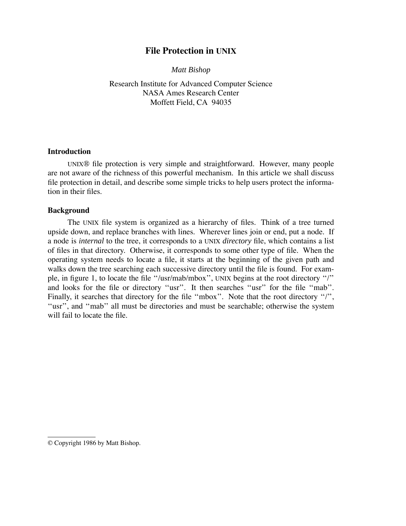# **File Protection in UNIX**

*Matt Bishop*

Research Institute for Advanced Computer Science NASA Ames Research Center Moffett Field, CA 94035

#### **Introduction**

UNIX® file protection is very simple and straightforward. However, many people are not aware of the richness of this powerful mechanism. In this article we shall discuss file protection in detail, and describe some simple tricks to help users protect the information in their files.

#### **Background**

The UNIX file system is organized as a hierarchy of files. Think of a tree turned upside down, and replace branches with lines. Wherever lines join or end, put a node. If a node is *internal* to the tree, it corresponds to a UNIX *directory* file, which contains a list of files in that directory. Otherwise, it corresponds to some other type of file. When the operating system needs to locate a file, it starts at the beginning of the given path and walks down the tree searching each successive directory until the file is found. For example, in figure 1, to locate the file ''/usr/mab/mbox'', UNIX begins at the root directory ''/'' and looks for the file or directory ''usr''. It then searches ''usr'' for the file ''mab''. Finally, it searches that directory for the file "mbox". Note that the root directory "/", "usr", and "mab" all must be directories and must be searchable; otherwise the system will fail to locate the file.

<sup>©</sup> Copyright 1986 by Matt Bishop.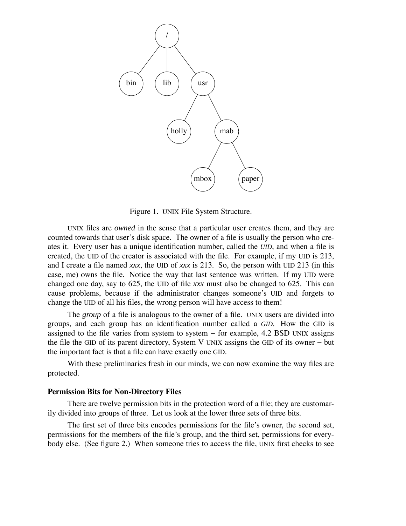

Figure 1. UNIX File System Structure.

UNIX files are *owned* in the sense that a particular user creates them, and they are counted towards that user's disk space. The owner of a file is usually the person who creates it. Every user has a unique identification number, called the *UID*, and when a file is created, the UID of the creator is associated with the file. For example, if my UID is 213, and I create a file named *xxx*, the UID of *xxx* is 213. So, the person with UID 213 (in this case, me) owns the file. Notice the way that last sentence was written. If my UID were changed one day, say to 625, the UID of file *xxx* must also be changed to 625. This can cause problems, because if the administrator changes someone's UID and forgets to change the UID of all his files, the wrong person will have access to them!

The *group* of a file is analogous to the owner of a file. UNIX users are divided into groups, and each group has an identification number called a *GID*. How the GID is assigned to the file varies from system to system − for example, 4.2 BSD UNIX assigns the file the GID of its parent directory, System V UNIX assigns the GID of its owner − but the important fact is that a file can have exactly one GID.

With these preliminaries fresh in our minds, we can now examine the way files are protected.

#### **Permission Bits for Non-Directory Files**

There are twelve permission bits in the protection word of a file; they are customarily divided into groups of three. Let us look at the lower three sets of three bits.

The first set of three bits encodes permissions for the file's owner, the second set, permissions for the members of the file's group, and the third set, permissions for everybody else. (See figure 2.) When someone tries to access the file, UNIX first checks to see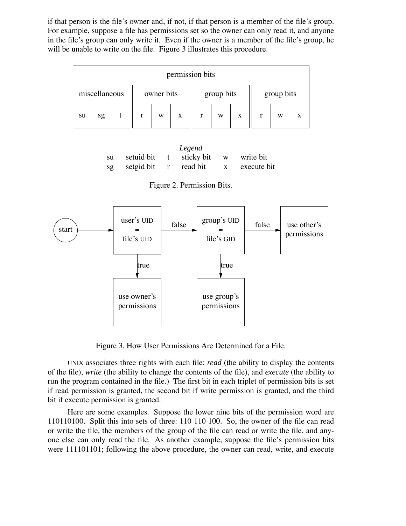if that person is the file's owner and, if not, if that person is a member of the file's group. For example, suppose a file has permissions set so the owner can only read it, and anyone in the file's group can only write it. Even if the owner is a member of the file's group, he will be unable to write on the file. Figure 3 illustrates this procedure.

| permission bits |    |  |            |   |   |            |   |   |            |   |   |
|-----------------|----|--|------------|---|---|------------|---|---|------------|---|---|
| miscellaneous   |    |  | owner bits |   |   | group bits |   |   | group bits |   |   |
| su              | sg |  | r          | W | X |            | W | X |            | W | X |

*Legend* su setuid bit t sticky bit w write bit sg setgid bit r read bit x execute bit

Figure 2. Permission Bits.



Figure 3. How User Permissions Are Determined for a File.

UNIX associates three rights with each file: *read* (the ability to display the contents of the file), *write* (the ability to change the contents of the file), and *execute* (the ability to run the program contained in the file.) The first bit in each triplet of permission bits is set if read permission is granted, the second bit if write permission is granted, and the third bit if execute permission is granted.

Here are some examples. Suppose the lower nine bits of the permission word are 110110100. Split this into sets of three: 110 110 100. So, the owner of the file can read or write the file, the members of the group of the file can read or write the file, and anyone else can only read the file. As another example, suppose the file's permission bits were 111101101; following the above procedure, the owner can read, write, and execute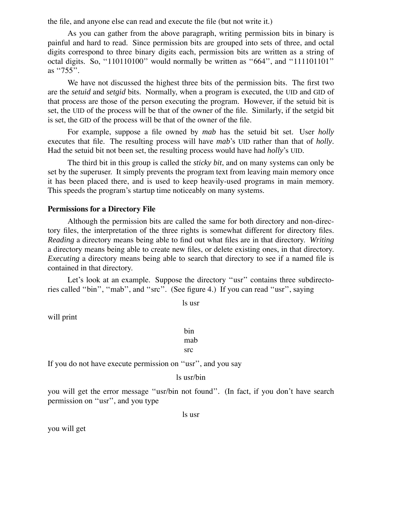the file, and anyone else can read and execute the file (but not write it.)

As you can gather from the above paragraph, writing permission bits in binary is painful and hard to read. Since permission bits are grouped into sets of three, and octal digits correspond to three binary digits each, permission bits are written as a string of octal digits. So, ''110110100'' would normally be written as ''664'', and ''111101101'' as ''755''.

We have not discussed the highest three bits of the permission bits. The first two are the *setuid* and *setgid* bits. Normally, when a program is executed, the UID and GID of that process are those of the person executing the program. However, if the setuid bit is set, the UID of the process will be that of the owner of the file. Similarly, if the setgid bit is set, the GID of the process will be that of the owner of the file.

For example, suppose a file owned by *mab* has the setuid bit set. User *holly* executes that file. The resulting process will have *mab*'s UID rather than that of *holly*. Had the setuid bit not been set, the resulting process would have had *holly*'s UID.

The third bit in this group is called the *sticky bit*, and on many systems can only be set by the superuser. It simply prevents the program text from leaving main memory once it has been placed there, and is used to keep heavily-used programs in main memory. This speeds the program's startup time noticeably on many systems.

#### **Permissions for a Directory File**

Although the permission bits are called the same for both directory and non-directory files, the interpretation of the three rights is somewhat different for directory files. *Reading* a directory means being able to find out what files are in that directory. *Writing* a directory means being able to create new files, or delete existing ones, in that directory. *Executing* a directory means being able to search that directory to see if a named file is contained in that directory.

Let's look at an example. Suppose the directory ''usr'' contains three subdirectories called ''bin'', ''mab'', and ''src''. (See figure 4.) If you can read ''usr'', saying

ls usr

will print

bin mab src

If you do not have execute permission on ''usr'', and you say

```
ls usr/bin
```
you will get the error message "usr/bin not found". (In fact, if you don't have search permission on ''usr'', and you type

ls usr

you will get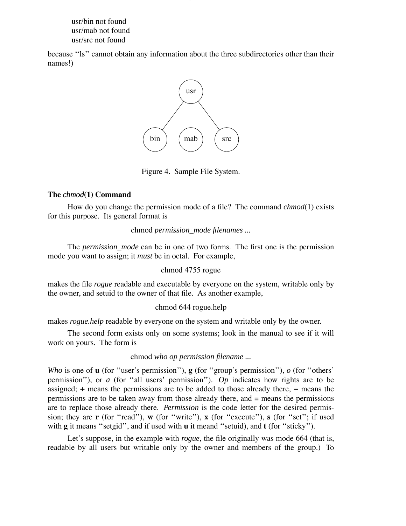usr/bin not found usr/mab not found usr/src not found

because ''ls'' cannot obtain any information about the three subdirectories other than their names!)



Figure 4. Sample File System.

## **The** *chmod***(1) Command**

How do you change the permission mode of a file? The command *chmod*(1) exists for this purpose. Its general format is

chmod *permission\_mode filenames ...*

The *permission\_mode* can be in one of two forms. The first one is the permission mode you want to assign; it *must* be in octal. For example,

### chmod 4755 rogue

makes the file *rogue* readable and executable by everyone on the system, writable only by the owner, and setuid to the owner of that file. As another example,

### chmod 644 rogue.help

makes *rogue.help* readable by everyone on the system and writable only by the owner.

The second form exists only on some systems; look in the manual to see if it will work on yours. The form is

### chmod *who op permission filename ...*

*Who* is one of **u** (for ''user's permission''), **g** (for ''group's permission''), *o* (for ''others' permission''), or *a* (for ''all users' permission''). *Op* indicates how rights are to be assigned; **+** means the permissions are to be added to those already there, **−** means the permissions are to be taken away from those already there, and  $\equiv$  means the permissions are to replace those already there. *Permission* is the code letter for the desired permission; they are **r** (for "read"), **w** (for "write"), **x** (for "execute"), **s** (for "set"; if used with **g** it means "setgid", and if used with **u** it meand "setuid), and **t** (for "sticky").

Let's suppose, in the example with *rogue*, the file originally was mode 664 (that is, readable by all users but writable only by the owner and members of the group.) To